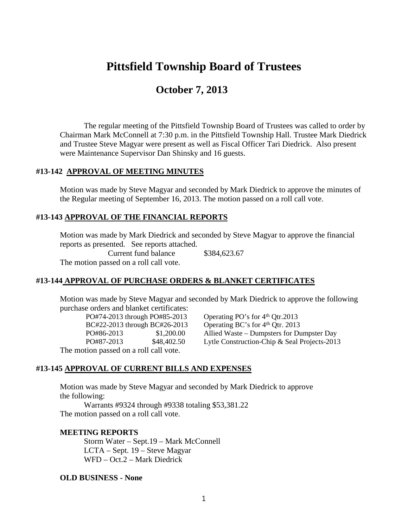# **Pittsfield Township Board of Trustees**

## **October 7, 2013**

The regular meeting of the Pittsfield Township Board of Trustees was called to order by Chairman Mark McConnell at 7:30 p.m. in the Pittsfield Township Hall. Trustee Mark Diedrick and Trustee Steve Magyar were present as well as Fiscal Officer Tari Diedrick. Also present were Maintenance Supervisor Dan Shinsky and 16 guests.

#### **#13-142 APPROVAL OF MEETING MINUTES**

Motion was made by Steve Magyar and seconded by Mark Diedrick to approve the minutes of the Regular meeting of September 16, 2013. The motion passed on a roll call vote.

#### **#13-143 APPROVAL OF THE FINANCIAL REPORTS**

Motion was made by Mark Diedrick and seconded by Steve Magyar to approve the financial reports as presented. See reports attached.

Current fund balance \$384,623.67 The motion passed on a roll call vote.

#### **#13-144 APPROVAL OF PURCHASE ORDERS & BLANKET CERTIFICATES**

Motion was made by Steve Magyar and seconded by Mark Diedrick to approve the following purchase orders and blanket certificates:

PO#74-2013 through PO#85-2013 Operating PO's for  $4<sup>th</sup>$  Otr.2013 BC#22-2013 through BC#26-2013 Operating BC's for  $4<sup>th</sup>$  Qtr. 2013

PO#86-2013 \$1,200.00 Allied Waste – Dumpsters for Dumpster Day PO#87-2013 \$48,402.50 Lytle Construction-Chip & Seal Projects-2013

The motion passed on a roll call vote.

#### **#13-145 APPROVAL OF CURRENT BILLS AND EXPENSES**

Motion was made by Steve Magyar and seconded by Mark Diedrick to approve the following:

Warrants #9324 through #9338 totaling \$53,381.22 The motion passed on a roll call vote.

#### **MEETING REPORTS**

Storm Water – Sept.19 – Mark McConnell LCTA – Sept. 19 – Steve Magyar WFD – Oct.2 – Mark Diedrick

#### **OLD BUSINESS - None**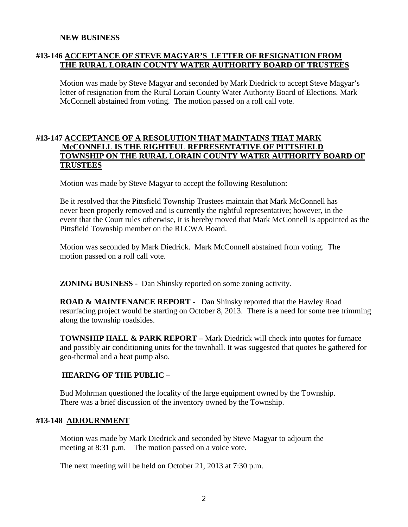#### **NEW BUSINESS**

## **#13-146 ACCEPTANCE OF STEVE MAGYAR'S LETTER OF RESIGNATION FROM THE RURAL LORAIN COUNTY WATER AUTHORITY BOARD OF TRUSTEES**

Motion was made by Steve Magyar and seconded by Mark Diedrick to accept Steve Magyar's letter of resignation from the Rural Lorain County Water Authority Board of Elections. Mark McConnell abstained from voting. The motion passed on a roll call vote.

### **#13-147 ACCEPTANCE OF A RESOLUTION THAT MAINTAINS THAT MARK McCONNELL IS THE RIGHTFUL REPRESENTATIVE OF PITTSFIELD TOWNSHIP ON THE RURAL LORAIN COUNTY WATER AUTHORITY BOARD OF TRUSTEES**

Motion was made by Steve Magyar to accept the following Resolution:

Be it resolved that the Pittsfield Township Trustees maintain that Mark McConnell has never been properly removed and is currently the rightful representative; however, in the event that the Court rules otherwise, it is hereby moved that Mark McConnell is appointed as the Pittsfield Township member on the RLCWA Board.

Motion was seconded by Mark Diedrick. Mark McConnell abstained from voting. The motion passed on a roll call vote.

**ZONING BUSINESS** - Dan Shinsky reported on some zoning activity.

**ROAD & MAINTENANCE REPORT -** Dan Shinsky reported that the Hawley Road resurfacing project would be starting on October 8, 2013. There is a need for some tree trimming along the township roadsides.

**TOWNSHIP HALL & PARK REPORT –** Mark Diedrick will check into quotes for furnace and possibly air conditioning units for the townhall. It was suggested that quotes be gathered for geo-thermal and a heat pump also.

## **HEARING OF THE PUBLIC –**

Bud Mohrman questioned the locality of the large equipment owned by the Township. There was a brief discussion of the inventory owned by the Township.

#### **#13-148 ADJOURNMENT**

Motion was made by Mark Diedrick and seconded by Steve Magyar to adjourn the meeting at 8:31 p.m. The motion passed on a voice vote.

The next meeting will be held on October 21, 2013 at 7:30 p.m.